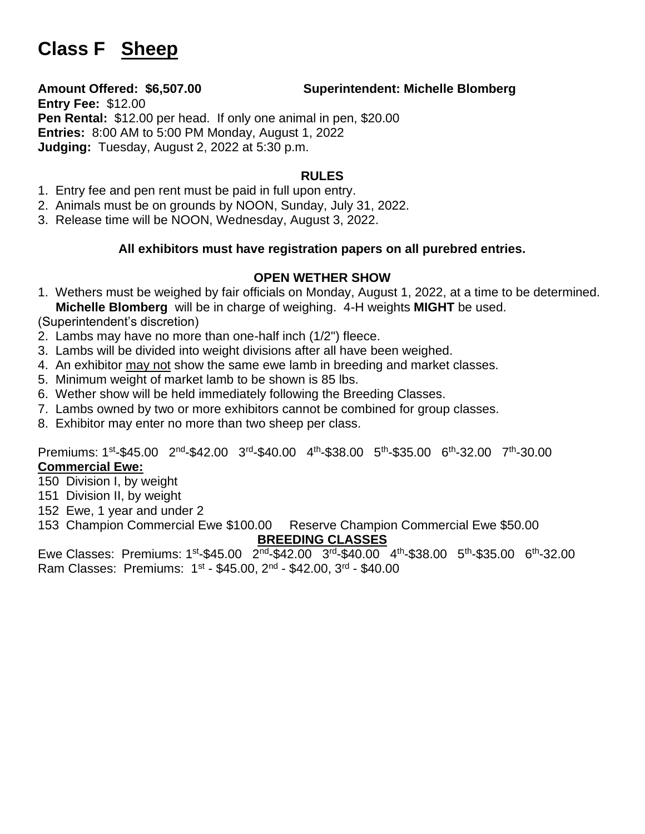# **Class F Sheep**

### **Amount Offered: \$6,507.00 Superintendent: Michelle Blomberg**

**Entry Fee:** \$12.00 **Pen Rental:** \$12.00 per head. If only one animal in pen, \$20.00 **Entries:** 8:00 AM to 5:00 PM Monday, August 1, 2022 **Judging:** Tuesday, August 2, 2022 at 5:30 p.m.

## **RULES**

- 1. Entry fee and pen rent must be paid in full upon entry.
- 2. Animals must be on grounds by NOON, Sunday, July 31, 2022.
- 3. Release time will be NOON, Wednesday, August 3, 2022.

### **All exhibitors must have registration papers on all purebred entries.**

### **OPEN WETHER SHOW**

1. Wethers must be weighed by fair officials on Monday, August 1, 2022, at a time to be determined. **Michelle Blomberg** will be in charge of weighing. 4-H weights **MIGHT** be used.

(Superintendent's discretion)

- 2. Lambs may have no more than one-half inch (1/2") fleece.
- 3. Lambs will be divided into weight divisions after all have been weighed.
- 4. An exhibitor may not show the same ewe lamb in breeding and market classes.
- 5. Minimum weight of market lamb to be shown is 85 lbs.
- 6. Wether show will be held immediately following the Breeding Classes.
- 7. Lambs owned by two or more exhibitors cannot be combined for group classes.
- 8. Exhibitor may enter no more than two sheep per class.

Premiums: 1<sup>st</sup>-\$45.00 2<sup>nd</sup>-\$42.00 3<sup>rd</sup>-\$40.00 4<sup>th</sup>-\$38.00 5<sup>th</sup>-\$35.00 6<sup>th</sup>-32.00 7<sup>th</sup>-30.00

# **Commercial Ewe:**

- 150 Division I, by weight
- 151 Division II, by weight
- 152 Ewe, 1 year and under 2
- 153 Champion Commercial Ewe \$100.00 Reserve Champion Commercial Ewe \$50.00 **BREEDING CLASSES**

Ewe Classes: Premiums: 1<sup>st</sup>-\$45.00 2<sup>nd</sup>-\$42.00 3<sup>rd</sup>-\$40.00 4<sup>th</sup>-\$38.00 5<sup>th</sup>-\$35.00 6<sup>th</sup>-32.00 Ram Classes: Premiums: 1st - \$45.00, 2<sup>nd</sup> - \$42.00, 3<sup>rd</sup> - \$40.00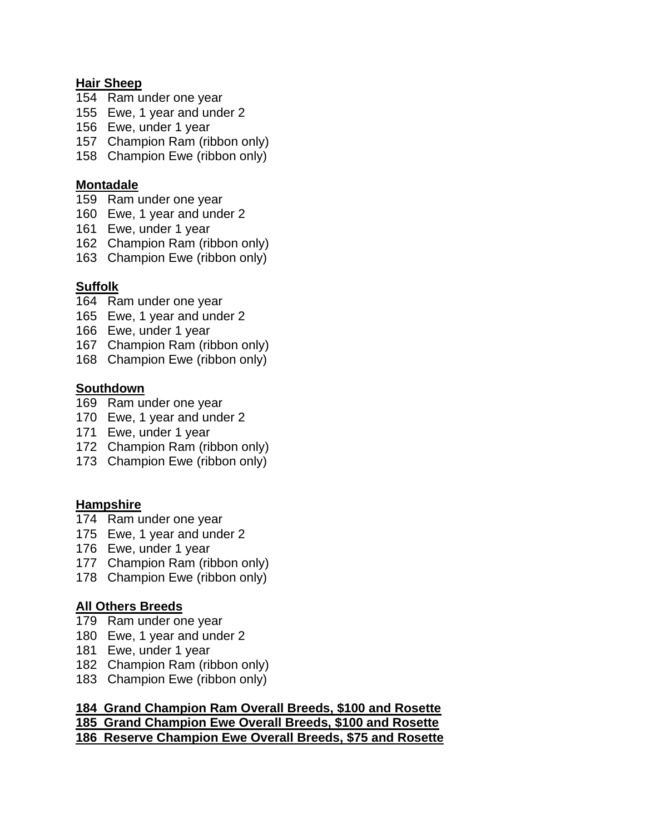#### **Hair Sheep**

- 154 Ram under one year
- 155 Ewe, 1 year and under 2
- 156 Ewe, under 1 year
- 157 Champion Ram (ribbon only)
- 158 Champion Ewe (ribbon only)

#### **Montadale**

- 159 Ram under one year
- 160 Ewe, 1 year and under 2
- 161 Ewe, under 1 year
- 162 Champion Ram (ribbon only)
- 163 Champion Ewe (ribbon only)

#### **Suffolk**

- 164 Ram under one year
- 165 Ewe, 1 year and under 2
- 166 Ewe, under 1 year
- 167 Champion Ram (ribbon only)
- 168 Champion Ewe (ribbon only)

#### **Southdown**

- 169 Ram under one year
- 170 Ewe, 1 year and under 2
- 171 Ewe, under 1 year
- 172 Champion Ram (ribbon only)
- 173 Champion Ewe (ribbon only)

#### **Hampshire**

- 174 Ram under one year
- 175 Ewe, 1 year and under 2
- 176 Ewe, under 1 year
- 177 Champion Ram (ribbon only)
- 178 Champion Ewe (ribbon only)

#### **All Others Breeds**

- 179 Ram under one year
- 180 Ewe, 1 year and under 2
- 181 Ewe, under 1 year
- 182 Champion Ram (ribbon only)
- 183 Champion Ewe (ribbon only)

#### **184 Grand Champion Ram Overall Breeds, \$100 and Rosette 185 Grand Champion Ewe Overall Breeds, \$100 and Rosette 186 Reserve Champion Ewe Overall Breeds, \$75 and Rosette**